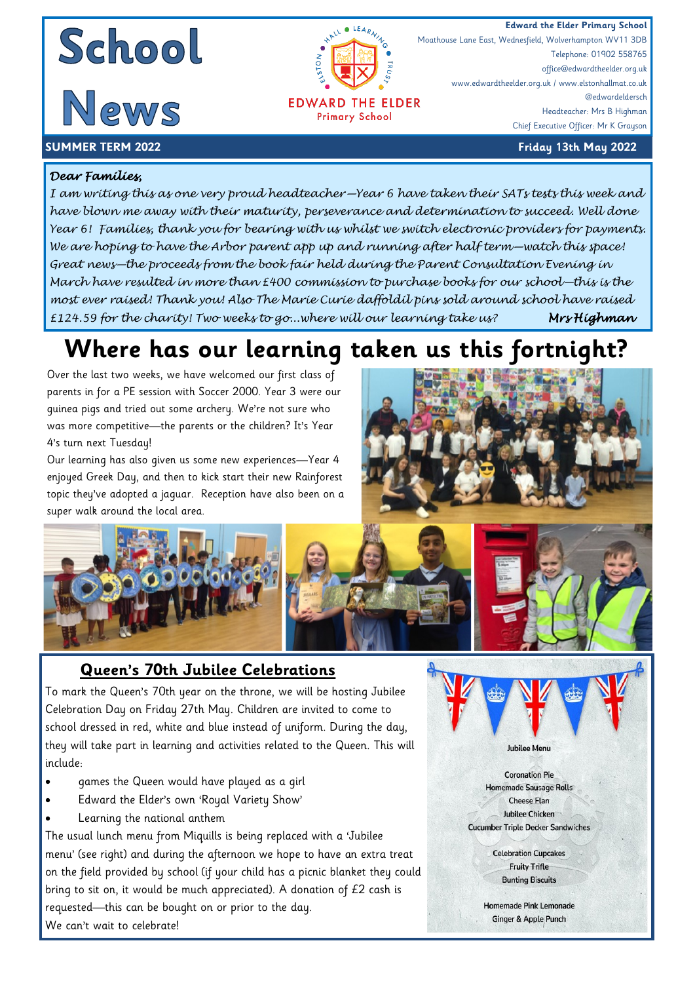





**EDWARD THE ELDER Primary School** 

**Edward the Elder Primary School**<br> **Edward the Elder Primary School**<br>
Moathouse Lane East, Wednesfield, Wolverhampton WV11 3DB Moathouse Lane East, Wednesfield, Wolverhampton WV11 3DB Telephone: 01902 558765 office@edwardtheelder.org.uk www.edwardtheelder.org.uk / www.elstonhallmat.co.uk @edwardeldersch Headteacher: Mrs B Highman Chief Executive Officer: Mr K Grayson

#### **SUMMER TERM 2022 Friday 13th May 2022**

#### *Dear Families,*

*I am writing this as one very proud headteacher—Year 6 have taken their SATs tests this week and have blown me away with their maturity, perseverance and determination to succeed. Well done Year 6! Families, thank you for bearing with us whilst we switch electronic providers for payments. We are hoping to have the Arbor parent app up and running after half term—watch this space! Great news—the proceeds from the book fair held during the Parent Consultation Evening in March have resulted in more than £400 commission to purchase books for our school—this is the most ever raised! Thank you! Also The Marie Curie daffoldil pins sold around school have raised £124.59 for the charity! Two weeks to go...where will our learning take us? Mrs Highman* 

## **Where has our learning taken us this fortnight?**

Over the last two weeks, we have welcomed our first class of parents in for a PE session with Soccer 2000. Year 3 were our guinea pigs and tried out some archery. We're not sure who was more competitive—the parents or the children? It's Year 4's turn next Tuesday!

Our learning has also given us some new experiences—Year 4 enjoyed Greek Day, and then to kick start their new Rainforest topic they've adopted a jaguar. Reception have also been on a super walk around the local area.



### **Queen's 70th Jubilee Celebrations**

To mark the Queen's 70th year on the throne, we will be hosting Jubilee Celebration Day on Friday 27th May. Children are invited to come to school dressed in red, white and blue instead of uniform. During the day, they will take part in learning and activities related to the Queen. This will include:

- games the Queen would have played as a girl
- Edward the Elder's own 'Royal Variety Show'
- Learning the national anthem

The usual lunch menu from Miquills is being replaced with a 'Jubilee menu' (see right) and during the afternoon we hope to have an extra treat on the field provided by school (if your child has a picnic blanket they could bring to sit on, it would be much appreciated). A donation of £2 cash is requested—this can be bought on or prior to the day. We can't wait to celebrate!

**Coronation Pie** Homemade Sausage Rolls **Cheese Flan Jubilee Chicken Cucumber Triple Decker Sandwiches** 

**Jubilee Menu** 

**Celebration Cupcakes Fruity Trifle Bunting Biscuits** 

**Homemade Pink Lemonade** Ginger & Apple Punch